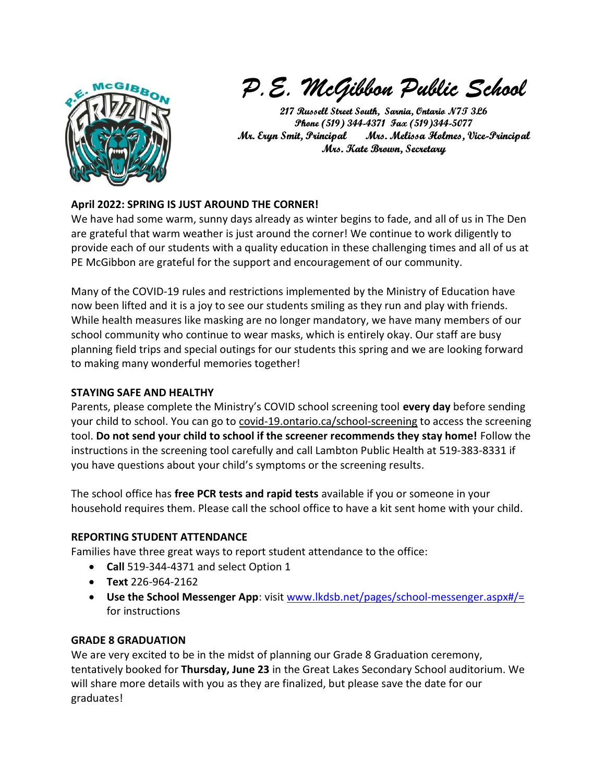

P.E. McGibbon Public School

217 Russell Street South, Sarnia, Ontario N7T 3L6 Phone (519) 344-4371 Fax (519)344-5077 Mr. Eryn Smit, Principal Mrs. Melissa Holmes, Vice-Principal Mrs. Kate Brown, Secretary

# April 2022: SPRING IS JUST AROUND THE CORNER!

We have had some warm, sunny days already as winter begins to fade, and all of us in The Den are grateful that warm weather is just around the corner! We continue to work diligently to provide each of our students with a quality education in these challenging times and all of us at PE McGibbon are grateful for the support and encouragement of our community.

Many of the COVID-19 rules and restrictions implemented by the Ministry of Education have now been lifted and it is a joy to see our students smiling as they run and play with friends. While health measures like masking are no longer mandatory, we have many members of our school community who continue to wear masks, which is entirely okay. Our staff are busy planning field trips and special outings for our students this spring and we are looking forward to making many wonderful memories together!

### STAYING SAFE AND HEALTHY

Parents, please complete the Ministry's COVID school screening tool every day before sending your child to school. You can go to covid-19.ontario.ca/school-screening to access the screening tool. Do not send your child to school if the screener recommends they stay home! Follow the instructions in the screening tool carefully and call Lambton Public Health at 519-383-8331 if you have questions about your child's symptoms or the screening results.

The school office has free PCR tests and rapid tests available if you or someone in your household requires them. Please call the school office to have a kit sent home with your child.

## REPORTING STUDENT ATTENDANCE

Families have three great ways to report student attendance to the office:

- Call 519-344-4371 and select Option 1
- Text 226-964-2162
- Use the School Messenger App: visit www.lkdsb.net/pages/school-messenger.aspx#/= for instructions

#### GRADE 8 GRADUATION

We are very excited to be in the midst of planning our Grade 8 Graduation ceremony, tentatively booked for Thursday, June 23 in the Great Lakes Secondary School auditorium. We will share more details with you as they are finalized, but please save the date for our graduates!